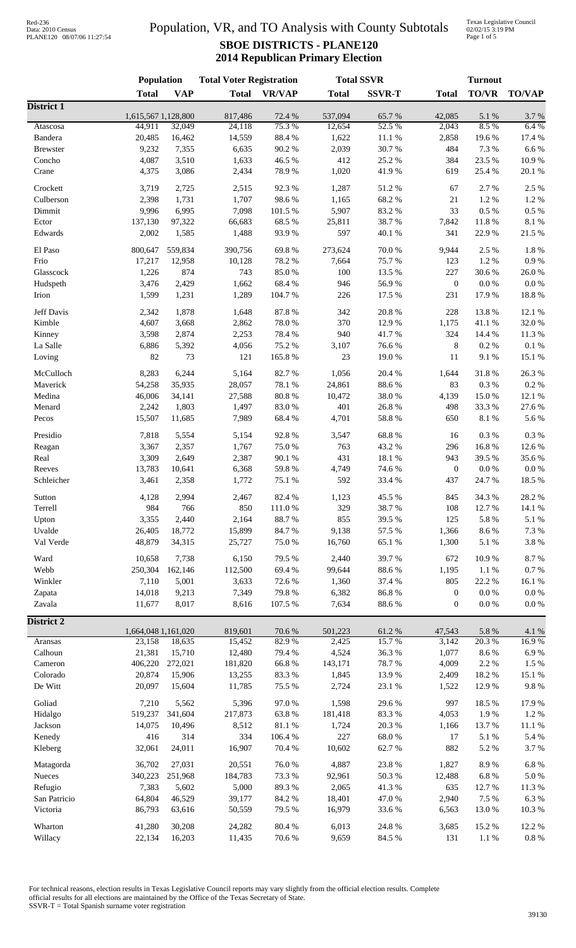### Population, VR, and TO Analysis with County Subtotals **SBOE DISTRICTS - PLANE120 2014 Republican Primary Election**

Texas Legislative Council 02/02/15 3:19 PM Page 1 of 5

|                       | Population                    |                 | <b>Total Voter Registration</b> |                 | <b>Total SSVR</b> |                     | <b>Turnout</b>                       |                     |                    |  |
|-----------------------|-------------------------------|-----------------|---------------------------------|-----------------|-------------------|---------------------|--------------------------------------|---------------------|--------------------|--|
|                       | <b>Total</b>                  | <b>VAP</b>      | <b>Total</b>                    | <b>VR/VAP</b>   | <b>Total</b>      | <b>SSVR-T</b>       | <b>Total</b>                         | <b>TO/VR</b>        | <b>TO/VAP</b>      |  |
| District 1            |                               |                 |                                 |                 |                   |                     |                                      |                     |                    |  |
| Atascosa              | 1,615,567 1,128,800<br>44,911 | 32,049          | 817,486<br>24,118               | 72.4 %<br>75.3% | 537,094<br>12,654 | 65.7%<br>52.5 %     | 42,085<br>2,043                      | $5.1~\%$<br>8.5%    | 3.7 %<br>6.4 %     |  |
| Bandera               | 20,485                        | 16,462          | 14,559                          | 88.4%           | 1,622             | $11.1\ \%$          | 2,858                                | 19.6%               | $17.4~\%$          |  |
| <b>Brewster</b>       | 9,232                         | 7,355           | 6,635                           | 90.2 %          | 2,039             | 30.7%               | 484                                  | 7.3 %               | 6.6%               |  |
| Concho                | 4,087                         | 3,510           | 1,633                           | 46.5 %          | 412               | 25.2 %              | 384                                  | 23.5 %              | 10.9%              |  |
| Crane                 | 4,375                         | 3,086           | 2,434                           | 78.9%           | 1,020             | 41.9%               | 619                                  | 25.4 %              | $20.1~\%$          |  |
|                       |                               |                 |                                 |                 |                   |                     |                                      |                     |                    |  |
| Crockett<br>Culberson | 3,719<br>2,398                | 2,725<br>1,731  | 2,515<br>1,707                  | 92.3%<br>98.6%  | 1,287<br>1,165    | 51.2%<br>68.2%      | 67<br>$21\,$                         | 2.7%<br>1.2%        | 2.5 %<br>1.2 %     |  |
| Dimmit                | 9,996                         | 6,995           | 7,098                           | 101.5 %         | 5,907             | 83.2%               | 33                                   | $0.5\ \%$           | $0.5~\%$           |  |
| Ector                 | 137,130                       | 97,322          | 66,683                          | 68.5%           | 25,811            | 38.7%               | 7,842                                | 11.8 %              | 8.1 %              |  |
| Edwards               | 2,002                         | 1,585           | 1,488                           | 93.9%           | 597               | 40.1 %              | 341                                  | 22.9%               | 21.5 %             |  |
|                       |                               |                 |                                 |                 |                   |                     |                                      |                     |                    |  |
| El Paso               | 800,647                       | 559,834         | 390,756                         | 69.8%           | 273,624           | 70.0%               | 9,944                                | 2.5 %               | 1.8 %              |  |
| Frio                  | 17,217                        | 12,958          | 10,128                          | 78.2%           | 7,664             | 75.7%               | 123                                  | 1.2%                | $0.9\ \%$          |  |
| Glasscock             | 1,226                         | 874             | 743                             | 85.0%           | 100               | 13.5 %              | 227                                  | 30.6%               | 26.0%              |  |
| Hudspeth              | 3,476                         | 2,429           | 1,662                           | 68.4%           | 946               | 56.9%               | $\mathbf{0}$                         | $0.0\ \%$           | $0.0\ \%$          |  |
| Irion                 | 1,599                         | 1,231           | 1,289                           | 104.7%          | 226               | 17.5 %              | 231                                  | 17.9%               | 18.8 %             |  |
| Jeff Davis            | 2,342                         | 1,878           | 1,648                           | 87.8%           | 342               | 20.8 %              | 228                                  | 13.8%               | 12.1 %             |  |
| Kimble                | 4,607                         | 3,668           | 2,862                           | 78.0%           | 370               | 12.9%               | 1,175                                | 41.1%               | 32.0%              |  |
| Kinney                | 3,598                         | 2,874           | 2,253                           | 78.4%           | 940               | 41.7%               | 324                                  | 14.4 %              | 11.3 %             |  |
| La Salle              | 6,886                         | 5,392           | 4,056                           | 75.2 %          | 3,107             | 76.6%               | $\,8\,$                              | 0.2 %               | $0.1\ \%$          |  |
| Loving                | 82                            | 73              | 121                             | 165.8%          | 23                | 19.0%               | 11                                   | 9.1%                | 15.1 %             |  |
|                       |                               |                 |                                 |                 |                   |                     |                                      |                     |                    |  |
| McCulloch             | 8,283                         | 6,244           | 5,164                           | 82.7%           | 1,056             | 20.4 %              | 1,644<br>83                          | 31.8%               | 26.3%              |  |
| Maverick              | 54,258                        | 35,935          | 28,057                          | 78.1 %          | 24,861            | 88.6%               |                                      | 0.3 %               | $0.2~\%$           |  |
| Medina                | 46,006                        | 34,141          | 27,588                          | $80.8~\%$       | 10,472            | 38.0%               | 4,139<br>498                         | 15.0%               | 12.1 %             |  |
| Menard                | 2,242<br>15,507               | 1,803<br>11,685 | 1,497                           | 83.0%           | 401               | 26.8%               | 650                                  | 33.3%<br>8.1 %      | 27.6%              |  |
| Pecos                 |                               |                 | 7,989                           | 68.4%           | 4,701             | 58.8 %              |                                      |                     | 5.6 %              |  |
| Presidio              | 7,818                         | 5,554           | 5,154                           | 92.8%           | 3,547             | 68.8%               | 16                                   | 0.3%                | $0.3~\%$           |  |
| Reagan                | 3,367                         | 2,357           | 1,767                           | 75.0%           | 763               | 43.2 %              | 296                                  | 16.8%               | 12.6 %             |  |
| Real                  | 3,309                         | 2,649           | 2,387                           | 90.1 %          | 431               | 18.1%               | 943                                  | 39.5 %              | 35.6%              |  |
| Reeves                | 13,783                        | 10,641          | 6,368                           | 59.8 %          | 4,749             | 74.6%               | $\boldsymbol{0}$                     | $0.0\ \%$           | $0.0\ \%$          |  |
| Schleicher            | 3,461                         | 2,358           | 1,772                           | 75.1 %          | 592               | 33.4 %              | 437                                  | 24.7%               | 18.5 %             |  |
| Sutton                | 4,128                         | 2,994           | 2,467                           | 82.4 %          | 1,123             | 45.5 %              | 845                                  | 34.3 %              | 28.2%              |  |
| Terrell               | 984                           | 766             | 850                             | 111.0%          | 329               | 38.7%               | 108                                  | 12.7%               | 14.1 %             |  |
| Upton                 | 3,355                         | 2,440           | 2,164                           | 88.7%           | 855               | 39.5 %              | 125                                  | 5.8 %               | 5.1 %              |  |
| Uvalde                | 26,405                        | 18,772          | 15,899                          | 84.7%           | 9,138             | 57.5 %              | 1,366                                | 8.6 %               | 7.3 %              |  |
| Val Verde             | 48,879                        | 34,315          | 25,727                          | 75.0%           | 16,760            | 65.1%               | 1,300                                | 5.1 %               | 3.8 %              |  |
|                       |                               |                 |                                 |                 |                   |                     |                                      |                     |                    |  |
| Ward                  | 10,658                        | 7,738           | 6,150                           | 79.5 %          | 2,440             | 39.7%               | 672                                  | 10.9%               | 8.7%               |  |
| Webb                  | 250,304                       | 162,146         | 112,500                         | 69.4%           | 99,644            | 88.6%               | 1,195                                | 1.1%                | $0.7\ \%$          |  |
| Winkler               | 7,110                         | 5,001           | 3,633                           | 72.6 %<br>79.8% | 1,360             | 37.4 %              | 805                                  | 22.2 %<br>$0.0\ \%$ | 16.1%<br>$0.0\ \%$ |  |
| Zapata<br>Zavala      | 14,018<br>11,677              | 9,213<br>8,017  | 7,349<br>8,616                  | 107.5 %         | 6,382<br>7,634    | $86.8\ \%$<br>88.6% | $\boldsymbol{0}$<br>$\boldsymbol{0}$ | $0.0\ \%$           | $0.0\ \%$          |  |
|                       |                               |                 |                                 |                 |                   |                     |                                      |                     |                    |  |
| <b>District 2</b>     |                               |                 |                                 |                 |                   |                     |                                      |                     |                    |  |
|                       | 1,664,048 1,161,020           |                 | 819,601                         | 70.6%           | 501,223           | 61.2%               | 47,543                               | 5.8 %               | 4.1 %              |  |
| Aransas               | 23,158                        | 18,635          | 15,452                          | 82.9%           | 2,425             | 15.7%               | 3,142                                | 20.3%               | 16.9%              |  |
| Calhoun               | 21,381                        | 15,710          | 12,480                          | 79.4 %          | 4,524             | 36.3%               | 1,077                                | 8.6%                | 6.9%               |  |
| Cameron               | 406,220                       | 272,021         | 181,820                         | 66.8 %          | 143,171           | 78.7%               | 4,009                                | 2.2 %               | 1.5 %              |  |
| Colorado              | 20,874                        | 15,906          | 13,255                          | 83.3%           | 1,845             | 13.9%               | 2,409                                | 18.2 %              | 15.1 %             |  |
| De Witt               | 20,097                        | 15,604          | 11,785                          | 75.5 %          | 2,724             | 23.1 %              | 1,522                                | 12.9%               | 9.8%               |  |
| Goliad                | 7,210                         | 5,562           | 5,396                           | 97.0%           | 1,598             | 29.6%               | 997                                  | 18.5 %              | 17.9%              |  |
| Hidalgo               | 519,237                       | 341,604         | 217,873                         | 63.8%           | 181,418           | 83.3%               | 4,053                                | 1.9%                | $1.2~\%$           |  |
| Jackson               | 14,075                        | 10,496          | 8,512                           | 81.1 %          | 1,724             | 20.3 %              | 1,166                                | 13.7%               | $11.1\text{ }\%$   |  |
| Kenedy                | 416                           | 314             | 334                             | 106.4 %         | 227               | $68.0\ \%$          | 17                                   | 5.1 %               | 5.4 %              |  |
| Kleberg               | 32,061                        | 24,011          | 16,907                          | 70.4 %          | 10,602            | 62.7%               | 882                                  | 5.2 %               | 3.7%               |  |
| Matagorda             | 36,702                        | 27,031          | 20,551                          | $76.0\;\%$      | 4,887             | 23.8 %              | 1,827                                | 8.9%                | $6.8~\%$           |  |
| Nueces                | 340,223                       | 251,968         | 184,783                         | 73.3 %          | 92,961            | $50.3\ \%$          | 12,488                               | $6.8~\%$            | $5.0\ \%$          |  |
| Refugio               | 7,383                         | 5,602           | 5,000                           | 89.3%           | 2,065             | 41.3 %              | 635                                  | 12.7%               | 11.3 %             |  |
| San Patricio          | 64,804                        | 46,529          | 39,177                          | 84.2 %          | 18,401            | 47.0%               | 2,940                                | 7.5 %               | $6.3~\%$           |  |
| Victoria              | 86,793                        | 63,616          | 50,559                          | 79.5 %          | 16,979            | 33.6%               | 6,563                                | 13.0%               | 10.3%              |  |
|                       |                               |                 |                                 |                 |                   |                     |                                      |                     |                    |  |
| Wharton               | 41,280                        | 30,208          | 24,282                          | 80.4%           | 6,013             | 24.8 %              | 3,685                                | 15.2 %              | 12.2 %             |  |
| Willacy               | 22,134                        | 16,203          | 11,435                          | 70.6%           | 9,659             | 84.5 %              | 131                                  | $1.1~\%$            | $0.8~\%$           |  |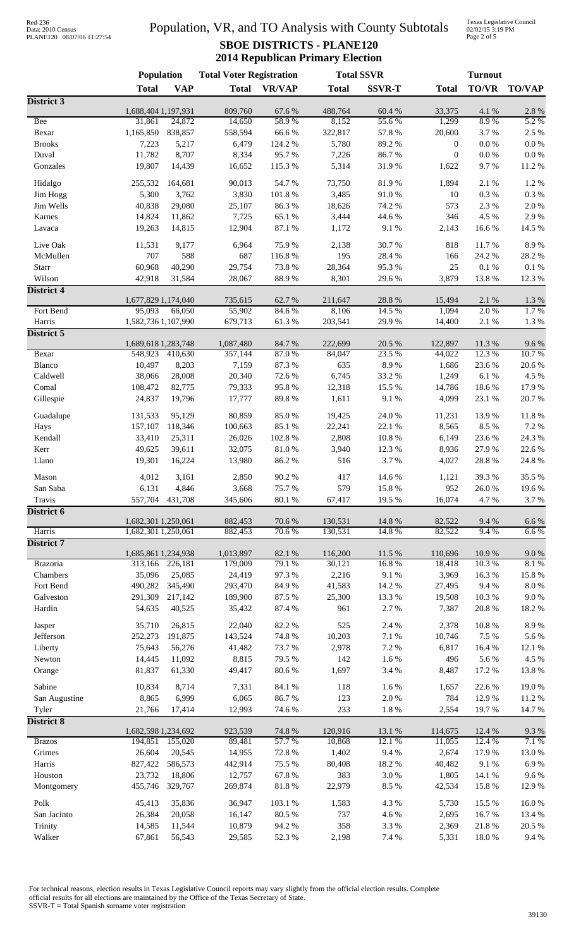# Data: 2010 Census PLANE120 08/07/06 11:27:54

### Population, VR, and TO Analysis with County Subtotals **SBOE DISTRICTS - PLANE120 2014 Republican Primary Election**

Texas Legislative Council 02/02/15 3:19 PM Page 2 of 5

|                       | <b>Population</b>   |                   | <b>Total Voter Registration</b> |                  | <b>Total SSVR</b> |                     |                   | <b>Turnout</b>    |                     |  |
|-----------------------|---------------------|-------------------|---------------------------------|------------------|-------------------|---------------------|-------------------|-------------------|---------------------|--|
|                       | <b>Total</b>        | <b>VAP</b>        | <b>Total</b>                    | <b>VR/VAP</b>    | <b>Total</b>      | <b>SSVR-T</b>       | <b>Total</b>      | <b>TO/VR</b>      | <b>TO/VAP</b>       |  |
| District 3            |                     |                   |                                 |                  |                   |                     |                   |                   |                     |  |
|                       | 1,688,404 1,197,931 |                   | 809,760                         | 67.6%            | 488,764           | 60.4%               | 33,375            | 4.1 %             | $2.8\ \%$           |  |
| Bee<br>Bexar          | 31,861<br>1,165,850 | 24,872<br>838,857 | 14,650<br>558,594               | 58.9%<br>66.6%   | 8,152<br>322,817  | 55.6%<br>57.8 %     | 1,299<br>20,600   | 8.9%<br>3.7%      | 5.2 %<br>2.5 %      |  |
| <b>Brooks</b>         | 7,223               | 5,217             | 6,479                           | 124.2 %          | 5,780             | 89.2%               | $\boldsymbol{0}$  | $0.0\ \%$         | $0.0\ \%$           |  |
| Duval                 | 11,782              | 8,707             | 8,334                           | 95.7%            | 7,226             | 86.7%               | $\boldsymbol{0}$  | $0.0\ \%$         | $0.0\ \%$           |  |
| Gonzales              | 19,807              | 14,439            | 16,652                          | 115.3%           | 5,314             | 31.9%               | 1,622             | 9.7%              | 11.2%               |  |
|                       |                     |                   |                                 |                  |                   |                     |                   |                   |                     |  |
| Hidalgo               | 255,532             | 164,681           | 90,013                          | 54.7 %           | 73,750            | 81.9%               | 1,894             | 2.1 %             | 1.2%                |  |
| Jim Hogg<br>Jim Wells | 5,300<br>40,838     | 3,762<br>29,080   | 3,830<br>25,107                 | 101.8%<br>86.3%  | 3,485<br>18,626   | 91.0%<br>74.2 %     | 10<br>573         | $0.3~\%$<br>2.3 % | $0.3\ \%$<br>2.0%   |  |
| Karnes                | 14,824              | 11,862            | 7,725                           | 65.1 %           | 3,444             | 44.6 %              | 346               | 4.5 %             | 2.9%                |  |
| Lavaca                | 19,263              | 14,815            | 12,904                          | 87.1 %           | 1,172             | $9.1\ \%$           | 2,143             | 16.6%             | 14.5 %              |  |
|                       |                     |                   |                                 |                  |                   |                     |                   |                   |                     |  |
| Live Oak              | 11,531              | 9,177             | 6,964                           | 75.9%            | 2,138             | 30.7%               | 818               | 11.7%             | 8.9%                |  |
| McMullen              | 707                 | 588<br>40,290     | 687                             | 116.8%           | 195               | 28.4 %<br>95.3%     | 166<br>25         | 24.2 %            | 28.2%               |  |
| Starr<br>Wilson       | 60,968<br>42,918    | 31,584            | 29,754<br>28,067                | 73.8%<br>88.9%   | 28,364<br>8,301   | 29.6%               | 3,879             | 0.1 %<br>13.8%    | $0.1\ \%$<br>12.3 % |  |
| District 4            |                     |                   |                                 |                  |                   |                     |                   |                   |                     |  |
|                       | 1,677,829 1,174,040 |                   | 735,615                         | 62.7%            | 211,647           | 28.8 %              | 15,494            | 2.1%              | $1.3~\%$            |  |
| Fort Bend             | 95,093              | 66,050            | 55,902                          | 84.6%            | 8,106             | 14.5 %              | 1,094             | 2.0%              | 1.7%                |  |
| Harris                | 1,582,736 1,107,990 |                   | 679,713                         | 61.3%            | 203,541           | 29.9%               | 14,400            | 2.1 %             | 1.3%                |  |
| District 5            |                     |                   |                                 |                  |                   |                     |                   |                   |                     |  |
|                       | 1,689,618 1,283,748 |                   | 1,087,480                       | 84.7%            | 222,699           | 20.5 %              | 122,897           | 11.3%             | 9.6%                |  |
| Bexar                 | 548,923             | 410,630           | 357,144                         | 87.0%            | 84,047            | 23.5 %              | 44,022            | 12.3 %            | 10.7%               |  |
| Blanco<br>Caldwell    | 10,497<br>38,066    | 8,203<br>28,008   | 7,159<br>20,340                 | 87.3 %<br>72.6 % | 635<br>6,745      | 8.9%<br>33.2 %      | 1,686<br>1,249    | 23.6 %<br>6.1%    | 20.6 %<br>4.5 %     |  |
| Comal                 | 108,472             | 82,775            | 79,333                          | 95.8%            | 12,318            | 15.5 %              | 14,786            | 18.6%             | 17.9%               |  |
| Gillespie             | 24,837              | 19,796            | 17,777                          | 89.8%            | 1,611             | 9.1%                | 4,099             | 23.1 %            | 20.7%               |  |
|                       |                     |                   |                                 |                  |                   |                     |                   |                   |                     |  |
| Guadalupe             | 131,533             | 95,129            | 80,859                          | 85.0%            | 19,425            | 24.0 %              | 11,231            | 13.9%             | 11.8%               |  |
| Hays                  | 157,107             | 118,346           | 100,663                         | 85.1%            | 22,241            | 22.1 %              | 8,565             | 8.5 %             | 7.2 %               |  |
| Kendall<br>Kerr       | 33,410<br>49,625    | 25,311<br>39,611  | 26,026<br>32,075                | 102.8%<br>81.0%  | 2,808<br>3,940    | $10.8~\%$<br>12.3 % | 6,149<br>8,936    | 23.6%<br>27.9%    | 24.3 %<br>22.6 %    |  |
| Llano                 | 19,301              | 16,224            | 13,980                          | 86.2%            | 516               | 3.7%                | 4,027             | 28.8%             | 24.8 %              |  |
|                       |                     |                   |                                 |                  |                   |                     |                   |                   |                     |  |
| Mason                 | 4,012               | 3,161             | 2,850                           | 90.2%            | 417               | 14.6 %              | 1,121             | 39.3%             | 35.5 %              |  |
| San Saba              | 6,131               | 4,846             | 3,668                           | 75.7%            | 579               | 15.8 %              | 952               | 26.0%             | 19.6%               |  |
| Travis                | 557,704             | 431,708           | 345,606                         | $80.1~\%$        | 67,417            | 19.5 %              | 16,074            | 4.7%              | 3.7%                |  |
| District 6            | 1,682,301 1,250,061 |                   | 882,453                         | 70.6 %           | 130,531           | 14.8 %              | 82,522            | 9.4 %             | 6.6%                |  |
| Harris                | 1,682,301 1,250,061 |                   | 882,453                         | 70.6%            | 130,531           | 14.8%               | 82,522            | 9.4%              | 6.6%                |  |
| <b>District 7</b>     |                     |                   |                                 |                  |                   |                     |                   |                   |                     |  |
|                       | 1,685,861 1,234,938 |                   | 1,013,897                       | 82.1 %           | 116,200           | 11.5 %              | 110,696           | 10.9%             | $9.0\;\%$           |  |
| Brazoria              | 313,166             | 226,181           | 179,009                         | 79.1 %           | 30,121            | 16.8%               | 18,418            | 10.3%             | 8.1%                |  |
| Chambers              | 35,096              | 25,085            | 24,419                          | 97.3%            | 2,216             | 9.1%                | 3,969             | 16.3%             | 15.8 %              |  |
| Fort Bend             | 490,282             | 345,490           | 293,470                         | 84.9%            | 41,583            | 14.2 %              | 27,495            | 9.4%              | $8.0\ \%$           |  |
| Galveston             | 291,309             | 217,142           | 189,900                         | 87.5 %           | 25,300            | 13.3 %              | 19,508            | 10.3%             | 9.0 %               |  |
| Hardin                | 54,635              | 40,525            | 35,432                          | 87.4 %           | 961               | 2.7 %               | 7,387             | 20.8 %            | 18.2%               |  |
| Jasper                | 35,710              | 26,815            | 22,040                          | 82.2%            | 525               | 2.4 %               | 2,378             | 10.8%             | 8.9%                |  |
| Jefferson             | 252,273             | 191,875           | 143,524                         | 74.8%            | 10,203            | 7.1 %               | 10,746            | 7.5 %             | 5.6 %               |  |
| Liberty               | 75,643              | 56,276            | 41,482                          | 73.7%            | 2,978             | 7.2 %               | 6,817             | 16.4 %            | 12.1 %              |  |
| Newton                | 14,445              | 11,092            | 8,815                           | 79.5 %           | 142               | 1.6%                | 496               | 5.6 %             | 4.5 %               |  |
| Orange                | 81,837              | 61,330            | 49,417                          | 80.6%            | 1,697             | 3.4 %               | 8,487             | 17.2 %            | 13.8%               |  |
| Sabine                | 10,834              | 8,714             | 7,331                           | 84.1 %           | 118               | 1.6%                | 1,657             | 22.6 %            | 19.0%               |  |
| San Augustine         | 8,865               | 6,999             | 6,065                           | 86.7%            | 123               | $2.0\ \%$           | 784               | 12.9%             | 11.2%               |  |
| Tyler                 | 21,766              | 17,414            | 12,993                          | 74.6%            | 233               | $1.8~\%$            | 2,554             | 19.7%             | 14.7%               |  |
| <b>District 8</b>     |                     |                   |                                 |                  |                   |                     |                   |                   |                     |  |
| <b>Brazos</b>         | 1,682,598 1,234,692 | 194,851 155,020   | 923,539<br>89,481               | 74.8%<br>57.7 %  | 120,916<br>10,868 | 13.1 %<br>12.1%     | 114,675<br>11,055 | 12.4 %<br>12.4 %  | 9.3%<br>7.1 %       |  |
| Grimes                | 26,604              | 20,545            | 14,955                          | 72.8%            | 1,402             | 9.4%                | 2,674             | 17.9 %            | 13.0 %              |  |
| Harris                | 827,422             | 586,573           | 442,914                         | 75.5 %           | 80,408            | 18.2 %              | 40,482            | 9.1%              | 6.9%                |  |
| Houston               | 23,732              | 18,806            | 12,757                          | 67.8%            | 383               | 3.0%                | 1,805             | 14.1 %            | 9.6%                |  |
| Montgomery            | 455,746             | 329,767           | 269,874                         | 81.8%            | 22,979            | 8.5 %               | 42,534            | 15.8 %            | 12.9%               |  |
|                       |                     |                   |                                 |                  |                   |                     |                   |                   |                     |  |
| Polk<br>San Jacinto   | 45,413              | 35,836            | 36,947                          | 103.1 %          | 1,583             | 4.3 %               | 5,730             | 15.5 %            | 16.0%               |  |
| Trinity               | 26,384<br>14,585    | 20,058<br>11,544  | 16,147<br>10,879                | 80.5 %<br>94.2%  | 737<br>358        | 4.6 %<br>3.3 %      | 2,695<br>2,369    | 16.7%<br>21.8%    | 13.4 %<br>20.5 %    |  |
| Walker                | 67,861              | 56,543            | 29,585                          | 52.3 %           | 2,198             | 7.4 %               | 5,331             | 18.0%             | 9.4%                |  |
|                       |                     |                   |                                 |                  |                   |                     |                   |                   |                     |  |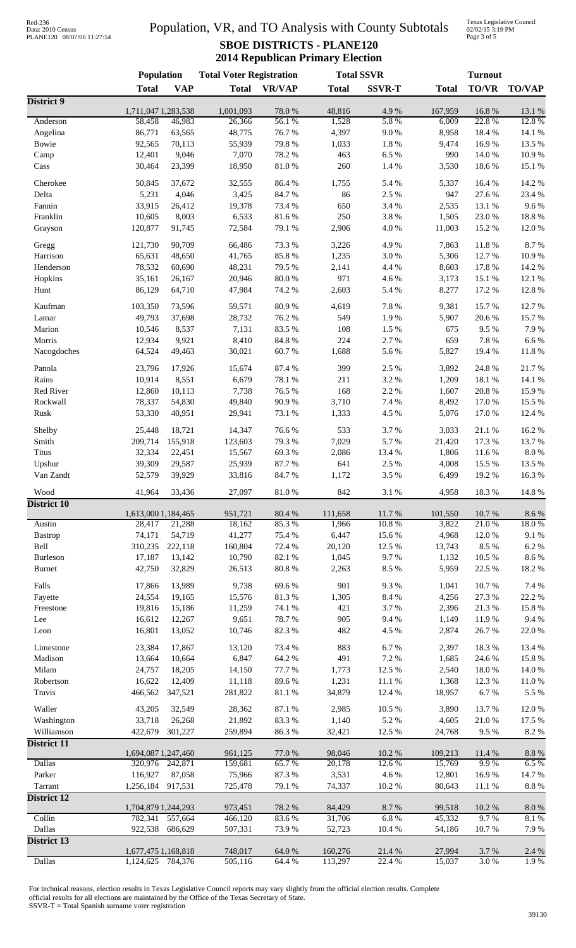# Data: 2010 Census PLANE120 08/07/06 11:27:54

### Population, VR, and TO Analysis with County Subtotals **SBOE DISTRICTS - PLANE120 2014 Republican Primary Election**

Texas Legislative Council 02/02/15 3:19 PM Page 3 of 5

|                       | <b>Population</b>              |                  | <b>Total Voter Registration</b> |                      | <b>Total SSVR</b> |                     | <b>Turnout</b>    |                  |                  |
|-----------------------|--------------------------------|------------------|---------------------------------|----------------------|-------------------|---------------------|-------------------|------------------|------------------|
|                       | <b>Total</b>                   | <b>VAP</b>       | <b>Total</b>                    | <b>VR/VAP</b>        | <b>Total</b>      | <b>SSVR-T</b>       | <b>Total</b>      | <b>TO/VR</b>     | <b>TO/VAP</b>    |
| District 9            |                                |                  |                                 |                      |                   |                     |                   |                  |                  |
| Anderson              | 1,711,047 1,283,538<br>58,458  | 46,983           | 1,001,093<br>26,366             | 78.0%<br>56.1%       | 48,816<br>1,528   | 4.9%<br>5.8%        | 167,959<br>6,009  | 16.8%<br>22.8%   | 13.1 %<br>12.8%  |
| Angelina              | 86,771                         | 63,565           | 48,775                          | 76.7%                | 4,397             | 9.0 %               | 8,958             | 18.4%            | 14.1 %           |
| Bowie                 | 92,565                         | 70,113           | 55,939                          | 79.8%                | 1,033             | 1.8%                | 9,474             | 16.9%            | 13.5 %           |
| Camp                  | 12,401                         | 9,046            | 7,070                           | 78.2 %               | 463               | 6.5 %               | 990               | 14.0%            | 10.9%            |
| Cass                  | 30,464                         | 23,399           | 18,950                          | $81.0\ \%$           | 260               | 1.4 %               | 3,530             | 18.6%            | 15.1 %           |
| Cherokee              |                                | 37,672           |                                 | 86.4%                |                   | 5.4 %               |                   | 16.4%            | 14.2 %           |
| Delta                 | 50,845<br>5,231                | 4,046            | 32,555<br>3,425                 | 84.7%                | 1,755<br>86       | 2.5 %               | 5,337<br>947      | 27.6%            | 23.4 %           |
| Fannin                | 33,915                         | 26,412           | 19,378                          | 73.4 %               | 650               | 3.4 %               | 2,535             | 13.1 %           | 9.6%             |
| Franklin              | 10,605                         | 8,003            | 6,533                           | 81.6%                | 250               | 3.8%                | 1,505             | 23.0%            | 18.8%            |
| Grayson               | 120,877                        | 91,745           | 72,584                          | 79.1 %               | 2,906             | 4.0%                | 11,003            | 15.2%            | 12.0%            |
|                       |                                |                  |                                 |                      |                   |                     |                   |                  |                  |
| Gregg                 | 121,730                        | 90,709           | 66,486                          | 73.3 %               | 3,226             | 4.9%                | 7,863             | 11.8%            | 8.7%             |
| Harrison<br>Henderson | 65,631                         | 48,650           | 41,765                          | 85.8%                | 1,235             | 3.0%                | 5,306             | 12.7%            | 10.9%            |
| Hopkins               | 78,532<br>35,161               | 60,690<br>26,167 | 48,231<br>20,946                | 79.5 %<br>$80.0\ \%$ | 2,141<br>971      | 4.4 %<br>4.6%       | 8,603<br>3,173    | 17.8 %<br>15.1 % | 14.2 %<br>12.1 % |
| Hunt                  | 86,129                         | 64,710           | 47,984                          | 74.2 %               | 2,603             | 5.4 %               | 8,277             | 17.2 %           | 12.8%            |
|                       |                                |                  |                                 |                      |                   |                     |                   |                  |                  |
| Kaufman               | 103,350                        | 73,596           | 59,571                          | 80.9%                | 4,619             | 7.8 %               | 9,381             | 15.7%            | 12.7%            |
| Lamar                 | 49,793                         | 37,698           | 28,732                          | 76.2%                | 549               | 1.9%                | 5,907             | 20.6%            | 15.7%            |
| Marion                | 10,546                         | 8,537            | 7,131                           | 83.5%                | 108               | 1.5 %               | 675               | 9.5%             | 7.9%             |
| Morris                | 12,934                         | 9,921            | 8,410                           | 84.8 %               | 224               | 2.7%                | 659               | 7.8 %            | $6.6\ \%$        |
| Nacogdoches           | 64,524                         | 49,463           | 30,021                          | 60.7%                | 1,688             | 5.6%                | 5,827             | 19.4 %           | 11.8%            |
| Panola                | 23,796                         | 17,926           | 15,674                          | 87.4 %               | 399               | 2.5 %               | 3,892             | 24.8%            | 21.7%            |
| Rains                 | 10,914                         | 8,551            | 6,679                           | 78.1 %               | 211               | 3.2%                | 1,209             | 18.1%            | 14.1 %           |
| Red River             | 12,860                         | 10,113           | 7,738                           | 76.5 %               | 168               | 2.2%                | 1,607             | 20.8%            | 15.9%            |
| Rockwall              | 78,337                         | 54,830           | 49,840                          | 90.9%                | 3,710             | 7.4 %               | 8,492             | 17.0%            | 15.5 %           |
| Rusk                  | 53,330                         | 40,951           | 29,941                          | 73.1 %               | 1,333             | 4.5 %               | 5,076             | 17.0%            | 12.4 %           |
| Shelby                | 25,448                         | 18,721           | 14,347                          | 76.6%                | 533               | 3.7%                | 3,033             | 21.1%            | 16.2%            |
| Smith                 | 209,714                        | 155,918          | 123,603                         | 79.3%                | 7,029             | 5.7%                | 21,420            | 17.3 %           | 13.7%            |
| Titus                 | 32,334                         | 22,451           | 15,567                          | 69.3%                | 2,086             | 13.4 %              | 1,806             | 11.6%            | 8.0%             |
| Upshur                | 39,309                         | 29,587           | 25,939                          | 87.7%                | 641               | 2.5 %               | 4,008             | 15.5 %           | 13.5 %           |
| Van Zandt             | 52,579                         | 39,929           | 33,816                          | 84.7%                | 1,172             | 3.5 %               | 6,499             | 19.2%            | 16.3%            |
| Wood                  |                                |                  |                                 |                      | 842               |                     |                   |                  |                  |
| <b>District 10</b>    | 41,964                         | 33,436           | 27,097                          | 81.0%                |                   | 3.1%                | 4,958             | 18.3%            | 14.8%            |
|                       | 1,613,000 1,184,465            |                  | 951,721                         | 80.4 %               | 111,658           | 11.7%               | 101,550           | 10.7 %           | $8.6\;\%$        |
| Austin                | 28,417                         | 21,288           | 18,162                          | 85.3%                | 1,966             | 10.8%               | 3,822             | 21.0%            | 18.0%            |
| <b>Bastrop</b>        | 74,171                         | 54,719           | 41,277                          | 75.4 %               | 6,447             | 15.6 %              | 4,968             | 12.0%            | 9.1%             |
| Bell                  | 310,235                        | 222,118          | 160,804                         | 72.4 %               | 20,120            | 12.5 %              | 13,743            | 8.5%             | 6.2%             |
| Burleson              | 17,187                         | 13,142           | 10,790                          | 82.1%                | 1,045             | 9.7%                | 1,132             | 10.5 %           | 8.6%             |
| <b>Burnet</b>         | 42,750                         | 32,829           | 26,513                          | 80.8%                | 2,263             | 8.5 %               | 5,959             | 22.5 %           | 18.2%            |
| Falls                 | 17,866                         | 13,989           | 9,738                           | 69.6%                | 901               | 9.3%                | 1,041             | 10.7%            | 7.4 %            |
| Fayette               | 24,554                         | 19,165           | 15,576                          | 81.3%                | 1,305             | 8.4%                | 4,256             | 27.3 %           | 22.2 %           |
| Freestone             | 19,816                         | 15,186           | 11,259                          | 74.1 %               | 421               | 3.7%                | 2,396             | 21.3%            | 15.8 %           |
| Lee                   | 16,612                         | 12,267           | 9,651                           | 78.7%                | 905               | 9.4%                | 1,149             | 11.9%            | 9.4%             |
| Leon                  | 16,801                         | 13,052           | 10,746                          | 82.3%                | 482               | 4.5 %               | 2,874             | 26.7%            | 22.0 %           |
|                       |                                |                  |                                 |                      |                   |                     |                   |                  |                  |
| Limestone<br>Madison  | 23,384                         | 17,867           | 13,120                          | 73.4 %<br>64.2%      | 883<br>491        | 6.7%<br>7.2 %       | 2,397             | 18.3%<br>24.6 %  | 13.4 %<br>15.8%  |
| Milam                 | 13,664<br>24,757               | 10,664<br>18,205 | 6,847<br>14,150                 | 77.7 %               | 1,773             | 12.5 %              | 1,685<br>2,540    | 18.0%            | 14.0 %           |
| Robertson             | 16,622                         | 12,409           | 11,118                          | 89.6%                | 1,231             | 11.1 %              | 1,368             | 12.3 %           | $11.0\ \%$       |
| Travis                | 466,562                        | 347,521          | 281,822                         | 81.1%                | 34,879            | 12.4 %              | 18,957            | 6.7%             | 5.5 %            |
|                       |                                |                  |                                 |                      |                   |                     |                   |                  |                  |
| Waller                | 43,205                         | 32,549           | 28,362                          | 87.1 %               | 2,985             | 10.5 %              | 3,890             | 13.7 %           | 12.0%            |
| Washington            | 33,718                         | 26,268           | 21,892                          | 83.3%                | 1,140             | 5.2 %               | 4,605             | 21.0%            | 17.5 %           |
| Williamson            | 422,679                        | 301,227          | 259,894                         | 86.3%                | 32,421            | 12.5 %              | 24,768            | 9.5%             | $8.2~\%$         |
| District 11           |                                |                  |                                 |                      |                   |                     |                   |                  |                  |
| <b>Dallas</b>         | 1,694,087 1,247,460<br>320,976 | 242,871          | 961,125<br>159,681              | $77.0\;\%$<br>65.7%  | 98,046<br>20,178  | $10.2~\%$<br>12.6 % | 109,213<br>15,769 | 11.4 %<br>9.9%   | $8.8~\%$<br>6.5% |
| Parker                | 116,927                        | 87,058           | 75,966                          | 87.3 %               | 3,531             | 4.6%                | 12,801            | 16.9%            | 14.7%            |
| Tarrant               | 1,256,184                      | 917,531          | 725,478                         | 79.1 %               | 74,337            | $10.2~\%$           | 80,643            | 11.1 %           | $8.8~\%$         |
| <b>District 12</b>    |                                |                  |                                 |                      |                   |                     |                   |                  |                  |
|                       | 1,704,879 1,244,293            |                  | 973,451                         | 78.2%                | 84,429            | 8.7%                | 99,518            | 10.2%            | $8.0\ \%$        |
| Collin                | 782,341                        | 557,664          | 466,120                         | 83.6%                | 31,706            | 6.8%                | 45,332            | 9.7%             | 8.1%             |
| Dallas                | 922,538                        | 686,629          | 507,331                         | 73.9%                | 52,723            | 10.4 %              | 54,186            | 10.7%            | 7.9%             |
| District 13           |                                |                  |                                 |                      |                   |                     |                   |                  |                  |
|                       | 1,677,475 1,168,818            |                  | 748,017                         | 64.0%                | 160,276           | 21.4 %              | 27,994            | 3.7 %            | 2.4 %            |
| Dallas                | 1,124,625                      | 784,376          | 505,116                         | 64.4 %               | 113,297           | 22.4 %              | 15,037            | 3.0%             | 1.9%             |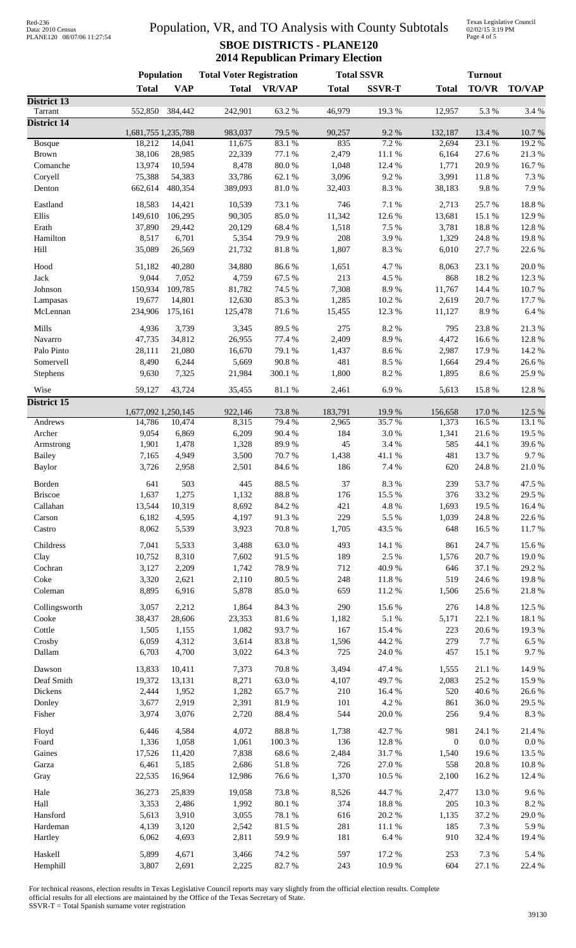| Red-236           |                            |
|-------------------|----------------------------|
| Data: 2010 Census |                            |
|                   | PLANE120 08/07/06 11:27:54 |

## Population, VR, and TO Analysis with County Subtotals **SBOE DISTRICTS - PLANE120 2014 Republican Primary Election**

Texas Legislative Council 02/02/15 3:19 PM Page 4 of 5

|                                | Population          |                | <b>Total Voter Registration</b> |                | <b>Total SSVR</b> |                 | <b>Turnout</b>   |                  |               |
|--------------------------------|---------------------|----------------|---------------------------------|----------------|-------------------|-----------------|------------------|------------------|---------------|
|                                | <b>Total</b>        | <b>VAP</b>     | <b>Total</b>                    | <b>VR/VAP</b>  | <b>Total</b>      | <b>SSVR-T</b>   | <b>Total</b>     | <b>TO/VR</b>     | <b>TO/VAP</b> |
| District 13                    |                     |                |                                 |                |                   |                 |                  |                  |               |
| Tarrant<br><b>District 14</b>  | 552,850             | 384,442        | 242,901                         | 63.2%          | 46,979            | 19.3%           | 12,957           | 5.3 %            | 3.4 %         |
|                                | 1,681,755 1,235,788 |                | 983,037                         | 79.5 %         | 90,257            | 9.2%            | 132,187          | 13.4 %           | $10.7~\%$     |
| <b>Bosque</b>                  | 18,212              | 14,041         | 11,675                          | 83.1 %         | 835               | 7.2 %           | 2,694            | 23.1 %           | 19.2 %        |
| <b>Brown</b>                   | 38,106              | 28,985         | 22,339                          | 77.1 %         | 2,479             | 11.1 %          | 6,164            | 27.6 %           | 21.3%         |
| Comanche                       | 13,974              | 10,594         | 8,478                           | $80.0\ \%$     | 1,048             | 12.4 %          | 1,771            | 20.9%            | 16.7%         |
| Coryell                        | 75,388              | 54,383         | 33,786                          | 62.1 %         | 3,096             | 9.2%            | 3,991            | 11.8 %           | 7.3 %         |
| Denton                         | 662,614             | 480,354        | 389,093                         | $81.0\ \%$     | 32,403            | 8.3%            | 38,183           | 9.8 %            | 7.9%          |
| Eastland                       | 18,583              | 14,421         | 10,539                          | 73.1 %         | 746               | 7.1 %           | 2,713            | 25.7 %           | 18.8%         |
| Ellis                          | 149,610             | 106,295        | 90,305                          | 85.0%          | 11,342            | 12.6%           | 13,681           | 15.1 %           | 12.9%         |
| Erath                          | 37,890              | 29,442         | 20,129                          | 68.4%          | 1,518             | 7.5 %           | 3,781            | 18.8 %           | 12.8%         |
| Hamilton                       | 8,517               | 6,701          | 5,354                           | 79.9%          | 208               | 3.9%            | 1,329            | 24.8 %           | 19.8%         |
| Hill                           | 35,089              | 26,569         | 21,732                          | 81.8%          | 1,807             | 8.3%            | 6,010            | 27.7 %           | 22.6 %        |
| Hood                           | 51,182              | 40,280         | 34,880                          | 86.6%          | 1,651             | 4.7%            | 8,063            | 23.1 %           | 20.0%         |
| Jack                           | 9,044               | 7,052          | 4,759                           | 67.5 %         | 213               | 4.5 %           | 868              | 18.2%            | 12.3 %        |
| Johnson                        | 150,934             | 109,785        | 81,782                          | 74.5 %         | 7,308             | 8.9%            | 11,767           | 14.4 %           | 10.7%         |
| Lampasas                       | 19,677              | 14,801         | 12,630                          | 85.3%          | 1,285             | 10.2%           | 2,619            | 20.7%            | 17.7 %        |
| McLennan                       | 234,906             | 175,161        | 125,478                         | 71.6%          | 15,455            | 12.3 %          | 11,127           | 8.9%             | 6.4 %         |
|                                |                     |                |                                 |                |                   |                 |                  |                  |               |
| Mills                          | 4,936               | 3,739          | 3,345                           | 89.5%          | 275               | 8.2%            | 795              | 23.8%            | 21.3%         |
| Navarro                        | 47,735              | 34,812         | 26,955                          | 77.4 %         | 2,409             | 8.9%            | 4,472            | 16.6%            | 12.8%         |
| Palo Pinto                     | 28,111              | 21,080         | 16,670                          | 79.1 %         | 1,437             | 8.6%            | 2,987            | 17.9%            | 14.2 %        |
| Somervell                      | 8,490               | 6,244          | 5,669                           | 90.8%          | 481               | 8.5%            | 1,664            | 29.4 %           | 26.6%         |
| Stephens                       | 9,630               | 7,325          | 21,984                          | 300.1 %        | 1,800             | 8.2%            | 1,895            | 8.6%             | 25.9%         |
| Wise                           | 59,127              | 43,724         | 35,455                          | 81.1 %         | 2,461             | 6.9%            | 5,613            | 15.8 %           | 12.8 %        |
| District 15                    |                     |                |                                 |                |                   |                 |                  |                  |               |
|                                | 1,677,092 1,250,145 |                | 922,146                         | 73.8%          | 183,791           | 19.9%           | 156,658          | 17.0%            | 12.5 %        |
| Andrews                        | 14,786              | 10,474         | 8,315                           | 79.4 %         | 2,965             | 35.7%           | 1,373            | 16.5%            | 13.1 %        |
| Archer                         | 9,054               | 6,869          | 6,209                           | 90.4%          | 184               | 3.0%            | 1,341            | 21.6%            | 19.5 %        |
| Armstrong                      | 1,901               | 1,478          | 1,328                           | 89.9%          | 45                | 3.4 %           | 585              | 44.1 %           | 39.6%         |
| <b>Bailey</b><br><b>Baylor</b> | 7,165<br>3,726      | 4,949<br>2,958 | 3,500<br>2,501                  | 70.7%<br>84.6% | 1,438<br>186      | 41.1 %<br>7.4 % | 481<br>620       | 13.7 %<br>24.8%  | 9.7%<br>21.0% |
|                                |                     |                |                                 |                |                   |                 |                  |                  |               |
| Borden                         | 641                 | 503            | 445                             | 88.5 %         | 37                | 8.3%            | 239              | 53.7%            | 47.5 %        |
| <b>Briscoe</b>                 | 1,637               | 1,275          | 1,132                           | $88.8\ \%$     | 176               | 15.5 %          | 376              | 33.2 %           | 29.5 %        |
| Callahan                       | 13,544              | 10,319         | 8,692                           | 84.2 %         | 421               | $4.8~\%$        | 1,693            | 19.5 %           | 16.4%         |
| Carson                         | 6,182               | 4,595          | 4,197                           | 91.3%          | 229               | 5.5 %           | 1,039            | 24.8 %           | 22.6%         |
| Castro                         | 8,062               | 5,539          | 3,923                           | 70.8 %         | 1,705             | 43.5 %          | 648              | 16.5 %           | 11.7%         |
| Childress                      | 7,041               | 5,533          | 3,488                           | 63.0%          | 493               | 14.1 %          | 861              | 24.7%            | 15.6 %        |
| Clay                           | 10,752              | 8,310          | 7,602                           | 91.5%          | 189               | 2.5 %           | 1,576            | 20.7%            | 19.0%         |
| Cochran                        | 3,127               | 2,209          | 1,742                           | 78.9%          | 712               | 40.9%           | 646              | 37.1 %           | 29.2 %        |
| Coke                           | 3,320               | 2,621          | 2,110                           | 80.5 %         | 248               | $11.8\ \%$      | 519              | 24.6 %           | 19.8%         |
| Coleman                        | 8,895               | 6,916          | 5,878                           | 85.0%          | 659               | 11.2 %          | 1,506            | 25.6 %           | 21.8 %        |
| Collingsworth                  | 3,057               | 2,212          | 1,864                           | 84.3 %         | 290               | 15.6 %          | 276              | 14.8 %           | 12.5 %        |
| Cooke                          | 38,437              | 28,606         | 23,353                          | 81.6%          | 1,182             | $5.1~\%$        | 5,171            | 22.1 %           | 18.1 %        |
| Cottle                         | 1,505               | 1,155          | 1,082                           | 93.7%          | 167               | 15.4 %          | 223              | 20.6 %           | 19.3%         |
| Crosby                         | 6,059               | 4,312          | 3,614                           | 83.8%          | 1,596             | 44.2 %          | 279              | 7.7 %            | 6.5 %         |
| Dallam                         | 6,703               | 4,700          | 3,022                           | 64.3 %         | 725               | 24.0 %          | 457              | 15.1 %           | 9.7%          |
|                                |                     |                |                                 |                |                   |                 |                  |                  |               |
| Dawson                         | 13,833              | 10,411         | 7,373                           | 70.8 %         | 3,494             | 47.4 %          | 1,555            | $21.1\text{ }\%$ | 14.9%         |
| Deaf Smith                     | 19,372              | 13,131         | 8,271                           | 63.0%          | 4,107             | 49.7%           | 2,083            | 25.2 %           | 15.9%         |
| Dickens                        | 2,444               | 1,952          | 1,282                           | 65.7%          | 210               | 16.4%           | 520              | 40.6%            | 26.6%         |
| Donley                         | 3,677               | 2,919          | 2,391                           | 81.9%          | 101               | 4.2 %           | 861              | 36.0%            | 29.5 %        |
| Fisher                         | 3,974               | 3,076          | 2,720                           | 88.4%          | 544               | $20.0~\%$       | 256              | 9.4%             | $8.3\ \%$     |
| Floyd                          | 6,446               | 4,584          | 4,072                           | $88.8\ \%$     | 1,738             | 42.7%           | 981              | 24.1 %           | 21.4%         |
| Foard                          | 1,336               | 1,058          | 1,061                           | $100.3~\%$     | 136               | 12.8 %          | $\boldsymbol{0}$ | $0.0\ \%$        | $0.0\ \%$     |
| Gaines                         | 17,526              | 11,420         | 7,838                           | 68.6%          | 2,484             | 31.7%           | 1,540            | 19.6%            | 13.5 %        |
| Garza                          | 6,461               | 5,185          | 2,686                           | $51.8\ \%$     | 726               | $27.0\;\%$      | 558              | $20.8~\%$        | 10.8 %        |
| Gray                           | 22,535              | 16,964         | 12,986                          | 76.6%          | 1,370             | 10.5 %          | 2,100            | 16.2%            | 12.4 %        |
| Hale                           | 36,273              | 25,839         | 19,058                          | 73.8 %         | 8,526             | 44.7%           | 2,477            | 13.0 %           | 9.6%          |
| Hall                           | 3,353               | 2,486          | 1,992                           | $80.1~\%$      | 374               | 18.8 %          | 205              | 10.3%            | $8.2~\%$      |
| Hansford                       | 5,613               | 3,910          | 3,055                           | 78.1 %         | 616               | $20.2~\%$       | 1,135            | 37.2 %           | 29.0%         |
| Hardeman                       | 4,139               | 3,120          | 2,542                           | 81.5%          | 281               | $11.1\ \%$      | 185              | 7.3 %            | 5.9%          |
| Hartley                        | 6,062               | 4,693          | 2,811                           | 59.9%          | 181               | $6.4~\%$        | 910              | 32.4 %           | 19.4 %        |
| Haskell                        | 5,899               | 4,671          | 3,466                           | 74.2 %         | 597               | 17.2 %          | 253              | 7.3 %            | 5.4 %         |
| Hemphill                       | 3,807               | 2,691          | 2,225                           | 82.7%          | 243               | $10.9~\%$       | 604              | $27.1\text{ }\%$ | 22.4 %        |